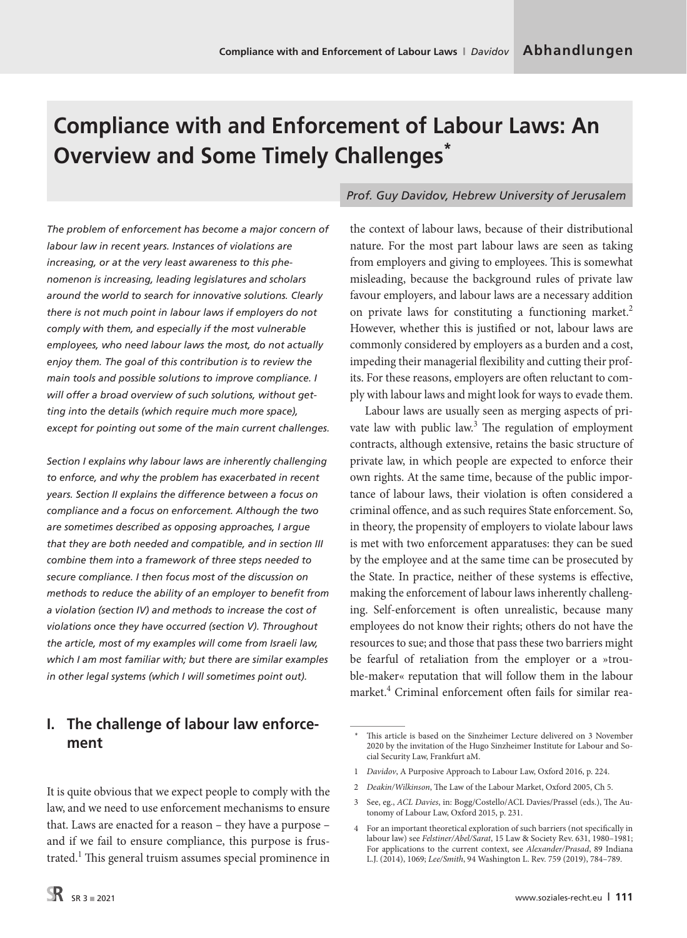# **Compliance with and Enforcement of Labour Laws: An Overview and Some Timely Challenges\***

*The problem of enforcement has become a major concern of labour law in recent years. Instances of violations are increasing, or at the very least awareness to this phenomenon is increasing, leading legislatures and scholars around the world to search for innovative solutions. Clearly there is not much point in labour laws if employers do not comply with them, and especially if the most vulnerable employees, who need labour laws the most, do not actually enjoy them. The goal of this contribution is to review the main tools and possible solutions to improve compliance. I will offer a broad overview of such solutions, without getting into the details (which require much more space), except for pointing out some of the main current challenges.*

*Section I explains why labour laws are inherently challenging to enforce, and why the problem has exacerbated in recent years. Section II explains the difference between a focus on compliance and a focus on enforcement. Although the two are sometimes described as opposing approaches, I argue that they are both needed and compatible, and in section III combine them into a framework of three steps needed to secure compliance. I then focus most of the discussion on methods to reduce the ability of an employer to benefit from a violation (section IV) and methods to increase the cost of violations once they have occurred (section V). Throughout the article, most of my examples will come from Israeli law, which I am most familiar with; but there are similar examples in other legal systems (which I will sometimes point out).*

# **I. The challenge of labour law enforcement**

It is quite obvious that we expect people to comply with the law, and we need to use enforcement mechanisms to ensure that. Laws are enacted for a reason – they have a purpose – and if we fail to ensure compliance, this purpose is frustrated.<sup>1</sup> This general truism assumes special prominence in

# *Prof. Guy Davidov, Hebrew University of Jerusalem*

the context of labour laws, because of their distributional nature. For the most part labour laws are seen as taking from employers and giving to employees. This is somewhat misleading, because the background rules of private law favour employers, and labour laws are a necessary addition on private laws for constituting a functioning market.<sup>2</sup> However, whether this is justified or not, labour laws are commonly considered by employers as a burden and a cost, impeding their managerial flexibility and cutting their profits. For these reasons, employers are often reluctant to comply with labour laws and might look for ways to evade them.

Labour laws are usually seen as merging aspects of private law with public law.<sup>3</sup> The regulation of employment contracts, although extensive, retains the basic structure of private law, in which people are expected to enforce their own rights. At the same time, because of the public importance of labour laws, their violation is often considered a criminal offence, and as such requires State enforcement. So, in theory, the propensity of employers to violate labour laws is met with two enforcement apparatuses: they can be sued by the employee and at the same time can be prosecuted by the State. In practice, neither of these systems is effective, making the enforcement of labour laws inherently challenging. Self-enforcement is often unrealistic, because many employees do not know their rights; others do not have the resources to sue; and those that pass these two barriers might be fearful of retaliation from the employer or a »trouble-maker« reputation that will follow them in the labour market.4 Criminal enforcement often fails for similar rea-

- 1 *Davidov*, A Purposive Approach to Labour Law, Oxford 2016, p. 224.
- 2 *Deakin/Wilkinson*, The Law of the Labour Market, Oxford 2005, Ch 5.
- 3 See, eg., *ACL Davies*, in: Bogg/Costello/ACL Davies/Prassel (eds.), The Autonomy of Labour Law, Oxford 2015, p. 231.

<sup>\*</sup> This article is based on the Sinzheimer Lecture delivered on 3 November 2020 by the invitation of the Hugo Sinzheimer Institute for Labour and Social Security Law, Frankfurt aM.

<sup>4</sup> For an important theoretical exploration of such barriers (not specifically in labour law) see *Felstiner/Abel/Sarat*, 15 Law & Society Rev. 631, 1980–1981; For applications to the current context, see *Alexander/Prasad*, 89 Indiana L.J. (2014), 1069; *Lee/Smith*, 94 Washington L. Rev. 759 (2019), 784–789.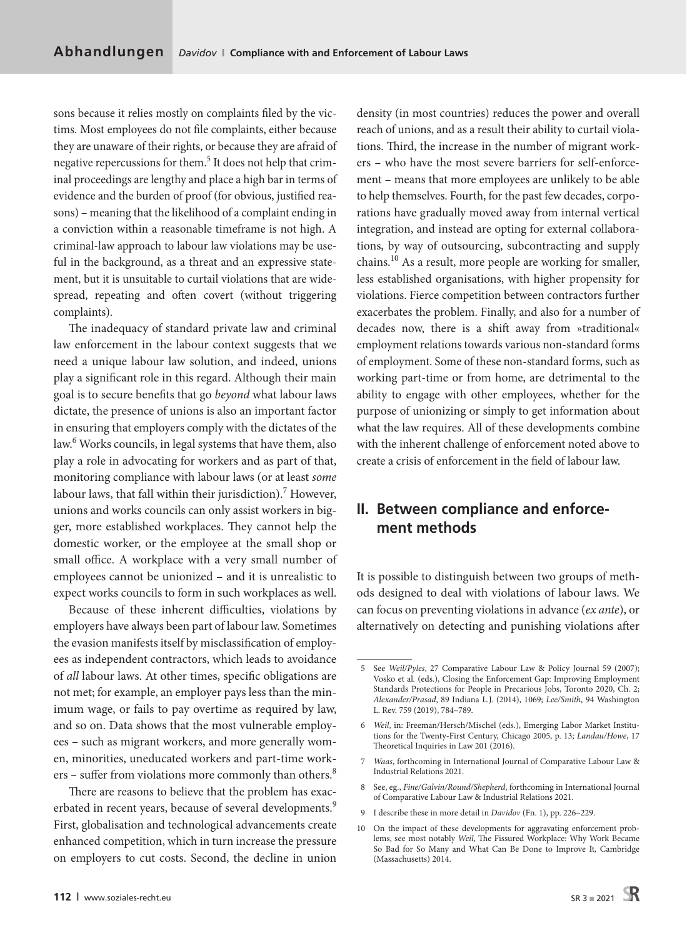sons because it relies mostly on complaints filed by the victims. Most employees do not file complaints, either because they are unaware of their rights, or because they are afraid of negative repercussions for them.<sup>5</sup> It does not help that criminal proceedings are lengthy and place a high bar in terms of evidence and the burden of proof (for obvious, justified reasons) – meaning that the likelihood of a complaint ending in a conviction within a reasonable timeframe is not high. A criminal-law approach to labour law violations may be useful in the background, as a threat and an expressive statement, but it is unsuitable to curtail violations that are widespread, repeating and often covert (without triggering complaints).

The inadequacy of standard private law and criminal law enforcement in the labour context suggests that we need a unique labour law solution, and indeed, unions play a significant role in this regard. Although their main goal is to secure benefits that go *beyond* what labour laws dictate, the presence of unions is also an important factor in ensuring that employers comply with the dictates of the law.<sup>6</sup> Works councils, in legal systems that have them, also play a role in advocating for workers and as part of that, monitoring compliance with labour laws (or at least *some* labour laws, that fall within their jurisdiction).<sup>7</sup> However, unions and works councils can only assist workers in bigger, more established workplaces. They cannot help the domestic worker, or the employee at the small shop or small office. A workplace with a very small number of employees cannot be unionized – and it is unrealistic to expect works councils to form in such workplaces as well.

Because of these inherent difficulties, violations by employers have always been part of labour law. Sometimes the evasion manifests itself by misclassification of employees as independent contractors, which leads to avoidance of *all* labour laws. At other times, specific obligations are not met; for example, an employer pays less than the minimum wage, or fails to pay overtime as required by law, and so on. Data shows that the most vulnerable employees – such as migrant workers, and more generally women, minorities, uneducated workers and part-time workers – suffer from violations more commonly than others.<sup>8</sup>

There are reasons to believe that the problem has exacerbated in recent years, because of several developments.<sup>9</sup> First, globalisation and technological advancements create enhanced competition, which in turn increase the pressure on employers to cut costs. Second, the decline in union density (in most countries) reduces the power and overall reach of unions, and as a result their ability to curtail violations. Third, the increase in the number of migrant workers – who have the most severe barriers for self-enforcement – means that more employees are unlikely to be able to help themselves. Fourth, for the past few decades, corporations have gradually moved away from internal vertical integration, and instead are opting for external collaborations, by way of outsourcing, subcontracting and supply chains.10 As a result, more people are working for smaller, less established organisations, with higher propensity for violations. Fierce competition between contractors further exacerbates the problem. Finally, and also for a number of decades now, there is a shift away from »traditional« employment relations towards various non-standard forms of employment. Some of these non-standard forms, such as working part-time or from home, are detrimental to the ability to engage with other employees, whether for the purpose of unionizing or simply to get information about what the law requires. All of these developments combine with the inherent challenge of enforcement noted above to create a crisis of enforcement in the field of labour law.

# **II. Between compliance and enforcement methods**

It is possible to distinguish between two groups of methods designed to deal with violations of labour laws. We can focus on preventing violations in advance (*ex ante*), or alternatively on detecting and punishing violations after

- 9 I describe these in more detail in *Davidov* (Fn. 1), pp. 226–229.
- 10 On the impact of these developments for aggravating enforcement problems, see most notably *Weil*, The Fissured Workplace: Why Work Became So Bad for So Many and What Can Be Done to Improve It*,* Cambridge (Massachusetts) 2014.

<sup>5</sup> See *Weil/Pyles*, 27 Comparative Labour Law & Policy Journal 59 (2007); Vosko et al*.* (eds.), Closing the Enforcement Gap: Improving Employment Standards Protections for People in Precarious Jobs, Toronto 2020, Ch. 2; *Alexander/Prasad*, 89 Indiana L.J. (2014), 1069; *Lee/Smith*, 94 Washington L. Rev. 759 (2019), 784–789.

<sup>6</sup> *Weil*, in: Freeman/Hersch/Mischel (eds.), Emerging Labor Market Institutions for the Twenty**-**First Century, Chicago 2005, p. 13; *Landau/Howe*, 17 Theoretical Inquiries in Law 201 (2016).

<sup>7</sup> *Waas*, forthcoming in International Journal of Comparative Labour Law & Industrial Relations 2021.

<sup>8</sup> See, eg., *Fine/Galvin/Round/Shepherd*, forthcoming in International Journal of Comparative Labour Law & Industrial Relations 2021.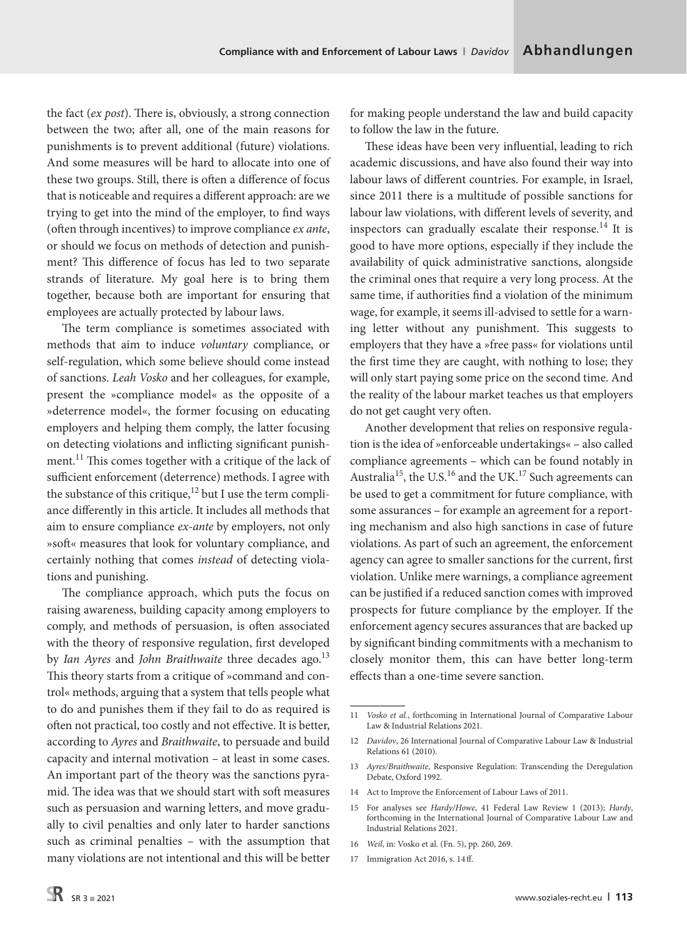the fact (*ex post*). There is, obviously, a strong connection between the two; after all, one of the main reasons for punishments is to prevent additional (future) violations. And some measures will be hard to allocate into one of these two groups. Still, there is often a difference of focus that is noticeable and requires a different approach: are we trying to get into the mind of the employer, to find ways (often through incentives) to improve compliance *ex ante*, or should we focus on methods of detection and punishment? This difference of focus has led to two separate strands of literature. My goal here is to bring them together, because both are important for ensuring that employees are actually protected by labour laws.

The term compliance is sometimes associated with methods that aim to induce *voluntary* compliance, or self-regulation, which some believe should come instead of sanctions. *Leah Vosko* and her colleagues, for example, present the »compliance model« as the opposite of a »deterrence model«, the former focusing on educating employers and helping them comply, the latter focusing on detecting violations and inflicting significant punishment.<sup>11</sup> This comes together with a critique of the lack of sufficient enforcement (deterrence) methods. I agree with the substance of this critique, $12$  but I use the term compliance differently in this article. It includes all methods that aim to ensure compliance *ex-ante* by employers, not only »soft« measures that look for voluntary compliance, and certainly nothing that comes *instead* of detecting violations and punishing.

The compliance approach, which puts the focus on raising awareness, building capacity among employers to comply, and methods of persuasion, is often associated with the theory of responsive regulation, first developed by *Ian Ayres* and *John Braithwaite* three decades ago.<sup>13</sup> This theory starts from a critique of »command and control« methods, arguing that a system that tells people what to do and punishes them if they fail to do as required is often not practical, too costly and not effective. It is better, according to *Ayres* and *Braithwaite*, to persuade and build capacity and internal motivation – at least in some cases. An important part of the theory was the sanctions pyramid. The idea was that we should start with soft measures such as persuasion and warning letters, and move gradually to civil penalties and only later to harder sanctions such as criminal penalties - with the assumption that many violations are not intentional and this will be better

for making people understand the law and build capacity to follow the law in the future.

These ideas have been very influential, leading to rich academic discussions, and have also found their way into labour laws of different countries. For example, in Israel, since 2011 there is a multitude of possible sanctions for labour law violations, with different levels of severity, and inspectors can gradually escalate their response.<sup>14</sup> It is good to have more options, especially if they include the availability of quick administrative sanctions, alongside the criminal ones that require a very long process. At the same time, if authorities find a violation of the minimum wage, for example, it seems ill-advised to settle for a warning letter without any punishment. This suggests to employers that they have a »free pass« for violations until the first time they are caught, with nothing to lose; they will only start paying some price on the second time. And the reality of the labour market teaches us that employers do not get caught very often.

Another development that relies on responsive regulation is the idea of »enforceable undertakings« – also called compliance agreements – which can be found notably in Australia<sup>15</sup>, the U.S.<sup>16</sup> and the UK.<sup>17</sup> Such agreements can be used to get a commitment for future compliance, with some assurances – for example an agreement for a reporting mechanism and also high sanctions in case of future violations. As part of such an agreement, the enforcement agency can agree to smaller sanctions for the current, first violation. Unlike mere warnings, a compliance agreement can be justified if a reduced sanction comes with improved prospects for future compliance by the employer. If the enforcement agency secures assurances that are backed up by significant binding commitments with a mechanism to closely monitor them, this can have better long-term effects than a one-time severe sanction.

- 14 Act to Improve the Enforcement of Labour Laws of 2011.
- 15 For analyses see *Hardy/Howe*, 41 Federal Law Review 1 (2013); *Hardy*, forthcoming in the International Journal of Comparative Labour Law and Industrial Relations 2021.
- 16 *Weil*, in: Vosko et al*.* (Fn. 5), pp. 260, 269.
- 17 Immigration Act 2016, s. 14ff.

<sup>11</sup> *Vosko et al.*, forthcoming in International Journal of Comparative Labour Law & Industrial Relations 2021.

<sup>12</sup> *Davidov*, 26 International Journal of Comparative Labour Law & Industrial Relations 61 (2010).

<sup>13</sup> *Ayres/Braithwaite*, Responsive Regulation: Transcending the Deregulation Debate, Oxford 1992.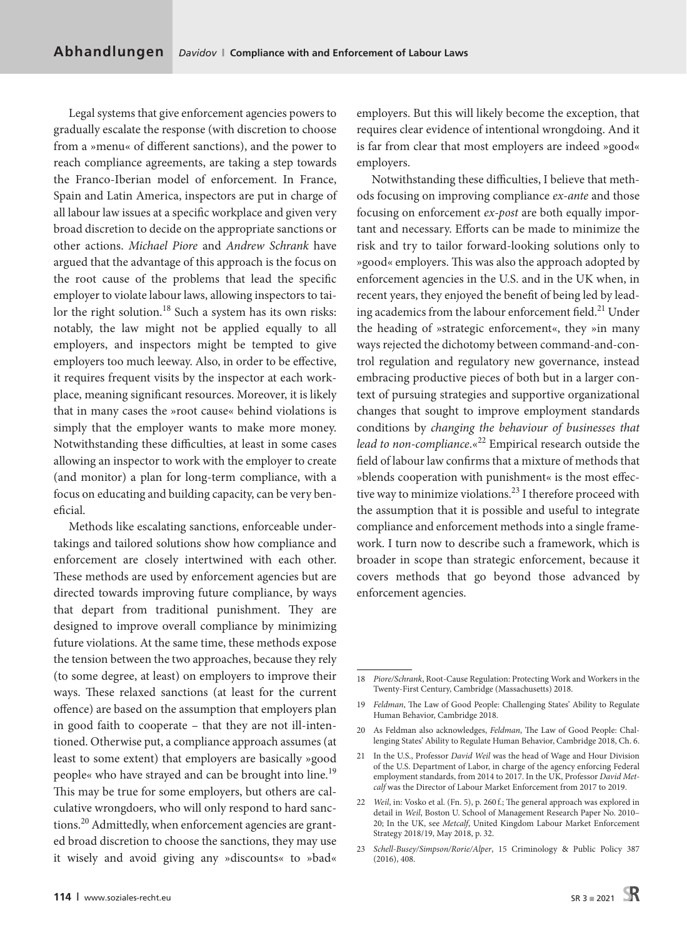Legal systems that give enforcement agencies powers to gradually escalate the response (with discretion to choose from a »menu« of different sanctions), and the power to reach compliance agreements, are taking a step towards the Franco-Iberian model of enforcement. In France, Spain and Latin America, inspectors are put in charge of all labour law issues at a specific workplace and given very broad discretion to decide on the appropriate sanctions or other actions. *Michael Piore* and *Andrew Schrank* have argued that the advantage of this approach is the focus on the root cause of the problems that lead the specific employer to violate labour laws, allowing inspectors to tailor the right solution.<sup>18</sup> Such a system has its own risks: notably, the law might not be applied equally to all employers, and inspectors might be tempted to give employers too much leeway. Also, in order to be effective, it requires frequent visits by the inspector at each workplace, meaning significant resources. Moreover, it is likely that in many cases the »root cause« behind violations is simply that the employer wants to make more money. Notwithstanding these difficulties, at least in some cases allowing an inspector to work with the employer to create (and monitor) a plan for long-term compliance, with a focus on educating and building capacity, can be very beneficial.

Methods like escalating sanctions, enforceable undertakings and tailored solutions show how compliance and enforcement are closely intertwined with each other. These methods are used by enforcement agencies but are directed towards improving future compliance, by ways that depart from traditional punishment. They are designed to improve overall compliance by minimizing future violations. At the same time, these methods expose the tension between the two approaches, because they rely (to some degree, at least) on employers to improve their ways. These relaxed sanctions (at least for the current offence) are based on the assumption that employers plan in good faith to cooperate – that they are not ill-intentioned. Otherwise put, a compliance approach assumes (at least to some extent) that employers are basically »good people« who have strayed and can be brought into line.<sup>19</sup> This may be true for some employers, but others are calculative wrongdoers, who will only respond to hard sanctions.<sup>20</sup> Admittedly, when enforcement agencies are granted broad discretion to choose the sanctions, they may use it wisely and avoid giving any »discounts« to »bad« employers. But this will likely become the exception, that requires clear evidence of intentional wrongdoing. And it is far from clear that most employers are indeed »good« employers.

Notwithstanding these difficulties, I believe that methods focusing on improving compliance *ex-ante* and those focusing on enforcement *ex-post* are both equally important and necessary. Efforts can be made to minimize the risk and try to tailor forward-looking solutions only to »good« employers. This was also the approach adopted by enforcement agencies in the U.S. and in the UK when, in recent years, they enjoyed the benefit of being led by leading academics from the labour enforcement field.<sup>21</sup> Under the heading of »strategic enforcement«, they »in many ways rejected the dichotomy between command-and-control regulation and regulatory new governance, instead embracing productive pieces of both but in a larger context of pursuing strategies and supportive organizational changes that sought to improve employment standards conditions by *changing the behaviour of businesses that*  lead to non-compliance.«<sup>22</sup> Empirical research outside the field of labour law confirms that a mixture of methods that »blends cooperation with punishment« is the most effective way to minimize violations.<sup>23</sup> I therefore proceed with the assumption that it is possible and useful to integrate compliance and enforcement methods into a single framework. I turn now to describe such a framework, which is broader in scope than strategic enforcement, because it covers methods that go beyond those advanced by enforcement agencies.

<sup>18</sup> *Piore/Schrank*, Root-Cause Regulation: Protecting Work and Workers in the Twenty-First Century, Cambridge (Massachusetts) 2018.

<sup>19</sup> *Feldman*, The Law of Good People: Challenging States' Ability to Regulate Human Behavior, Cambridge 2018.

<sup>20</sup> As Feldman also acknowledges, *Feldman*, The Law of Good People: Challenging States' Ability to Regulate Human Behavior, Cambridge 2018, Ch. 6.

<sup>21</sup> In the U.S., Professor *David Weil* was the head of Wage and Hour Division of the U.S. Department of Labor, in charge of the agency enforcing Federal employment standards, from 2014 to 2017. In the UK, Professor *David Metcalf* was the Director of Labour Market Enforcement from 2017 to 2019.

<sup>22</sup> *Weil*, in: Vosko et al. (Fn. 5), p. 260 f.; The general approach was explored in detail in *Weil*, [Boston U. School of Management Research Paper No. 2010–](https://papers.ssrn.com/sol3/papers.cfm?abstract_id=1623390) [20](https://papers.ssrn.com/sol3/papers.cfm?abstract_id=1623390); In the UK, see *Metcalf*, United Kingdom Labour Market Enforcement Strategy 2018/19, May 2018, p. 32.

<sup>23</sup> *Schell-Busey/Simpson/Rorie/Alper*, 15 Criminology & Public Policy 387 (2016), 408.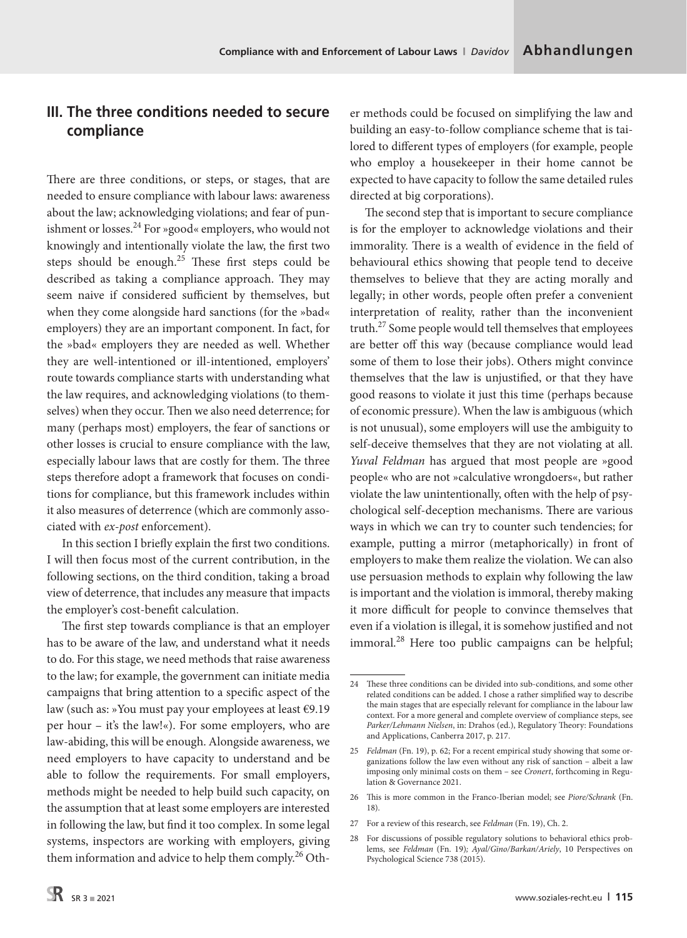# **III. The three conditions needed to secure compliance**

There are three conditions, or steps, or stages, that are needed to ensure compliance with labour laws: awareness about the law; acknowledging violations; and fear of punishment or losses.<sup>24</sup> For »good« employers, who would not knowingly and intentionally violate the law, the first two steps should be enough.<sup>25</sup> These first steps could be described as taking a compliance approach. They may seem naive if considered sufficient by themselves, but when they come alongside hard sanctions (for the »bad« employers) they are an important component. In fact, for the »bad« employers they are needed as well. Whether they are well-intentioned or ill-intentioned, employers' route towards compliance starts with understanding what the law requires, and acknowledging violations (to themselves) when they occur. Then we also need deterrence; for many (perhaps most) employers, the fear of sanctions or other losses is crucial to ensure compliance with the law, especially labour laws that are costly for them. The three steps therefore adopt a framework that focuses on conditions for compliance, but this framework includes within it also measures of deterrence (which are commonly associated with *ex-post* enforcement).

In this section I briefly explain the first two conditions. I will then focus most of the current contribution, in the following sections, on the third condition, taking a broad view of deterrence, that includes any measure that impacts the employer's cost-benefit calculation.

The first step towards compliance is that an employer has to be aware of the law, and understand what it needs to do. For this stage, we need methods that raise awareness to the law; for example, the government can initiate media campaigns that bring attention to a specific aspect of the law (such as: »You must pay your employees at least €9.19 per hour – it's the law!«). For some employers, who are law-abiding, this will be enough. Alongside awareness, we need employers to have capacity to understand and be able to follow the requirements. For small employers, methods might be needed to help build such capacity, on the assumption that at least some employers are interested in following the law, but find it too complex. In some legal systems, inspectors are working with employers, giving them information and advice to help them comply.<sup>26</sup> Other methods could be focused on simplifying the law and building an easy-to-follow compliance scheme that is tailored to different types of employers (for example, people who employ a housekeeper in their home cannot be expected to have capacity to follow the same detailed rules directed at big corporations).

The second step that is important to secure compliance is for the employer to acknowledge violations and their immorality. There is a wealth of evidence in the field of behavioural ethics showing that people tend to deceive themselves to believe that they are acting morally and legally; in other words, people often prefer a convenient interpretation of reality, rather than the inconvenient truth.<sup>27</sup> Some people would tell themselves that employees are better off this way (because compliance would lead some of them to lose their jobs). Others might convince themselves that the law is unjustified, or that they have good reasons to violate it just this time (perhaps because of economic pressure). When the law is ambiguous (which is not unusual), some employers will use the ambiguity to self-deceive themselves that they are not violating at all. *Yuval Feldman* has argued that most people are »good people« who are not »calculative wrongdoers«, but rather violate the law unintentionally, often with the help of psychological self-deception mechanisms. There are various ways in which we can try to counter such tendencies; for example, putting a mirror (metaphorically) in front of employers to make them realize the violation. We can also use persuasion methods to explain why following the law is important and the violation is immoral, thereby making it more difficult for people to convince themselves that even if a violation is illegal, it is somehow justified and not immoral. $^{28}$  Here too public campaigns can be helpful;

27 For a review of this research, see *Feldman* (Fn. 19), Ch. 2.

<sup>24</sup> These three conditions can be divided into sub-conditions, and some other related conditions can be added. I chose a rather simplified way to describe the main stages that are especially relevant for compliance in the labour law context. For a more general and complete overview of compliance steps, see *Parker/Lehmann Nielsen*, in: Drahos (ed.), Regulatory Theory: Foundations and Applications, Canberra 2017, p. 217.

<sup>25</sup> *Feldman* (Fn. 19), p. 62; For a recent empirical study showing that some organizations follow the law even without any risk of sanction – albeit a law imposing only minimal costs on them – see *Cronert*, forthcoming in Regulation & Governance 2021.

<sup>26</sup> This is more common in the Franco-Iberian model; see *Piore/Schrank* (Fn. 18).

<sup>28</sup> For discussions of possible regulatory solutions to behavioral ethics problems, see *Feldman* (Fn. 19)*; Ayal/Gino/Barkan/Ariely*, 10 Perspectives on Psychological Science 738 (2015).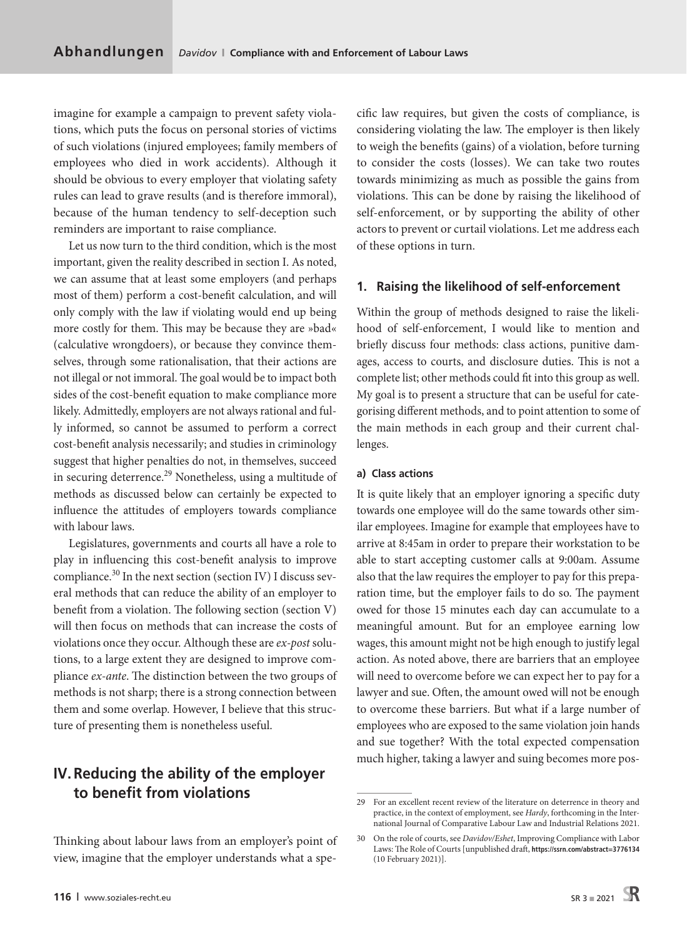imagine for example a campaign to prevent safety violations, which puts the focus on personal stories of victims of such violations (injured employees; family members of employees who died in work accidents). Although it should be obvious to every employer that violating safety rules can lead to grave results (and is therefore immoral), because of the human tendency to self-deception such reminders are important to raise compliance.

Let us now turn to the third condition, which is the most important, given the reality described in section I. As noted, we can assume that at least some employers (and perhaps most of them) perform a cost-benefit calculation, and will only comply with the law if violating would end up being more costly for them. This may be because they are »bad« (calculative wrongdoers), or because they convince themselves, through some rationalisation, that their actions are not illegal or not immoral. The goal would be to impact both sides of the cost-benefit equation to make compliance more likely. Admittedly, employers are not always rational and fully informed, so cannot be assumed to perform a correct cost-benefit analysis necessarily; and studies in criminology suggest that higher penalties do not, in themselves, succeed in securing deterrence.<sup>29</sup> Nonetheless, using a multitude of methods as discussed below can certainly be expected to influence the attitudes of employers towards compliance with labour laws.

Legislatures, governments and courts all have a role to play in influencing this cost-benefit analysis to improve compliance.<sup>30</sup> In the next section (section IV) I discuss several methods that can reduce the ability of an employer to benefit from a violation. The following section (section V) will then focus on methods that can increase the costs of violations once they occur. Although these are *ex-post* solutions, to a large extent they are designed to improve compliance *ex-ante*. The distinction between the two groups of methods is not sharp; there is a strong connection between them and some overlap. However, I believe that this structure of presenting them is nonetheless useful.

# **IV. Reducing the ability of the employer to benefit from violations**

Thinking about labour laws from an employer's point of view, imagine that the employer understands what a specific law requires, but given the costs of compliance, is considering violating the law. The employer is then likely to weigh the benefits (gains) of a violation, before turning to consider the costs (losses). We can take two routes towards minimizing as much as possible the gains from violations. This can be done by raising the likelihood of self-enforcement, or by supporting the ability of other actors to prevent or curtail violations. Let me address each of these options in turn.

#### **1. Raising the likelihood of self-enforcement**

Within the group of methods designed to raise the likelihood of self-enforcement, I would like to mention and briefly discuss four methods: class actions, punitive damages, access to courts, and disclosure duties. This is not a complete list; other methods could fit into this group as well. My goal is to present a structure that can be useful for categorising different methods, and to point attention to some of the main methods in each group and their current challenges.

#### **a) Class actions**

It is quite likely that an employer ignoring a specific duty towards one employee will do the same towards other similar employees. Imagine for example that employees have to arrive at 8:45am in order to prepare their workstation to be able to start accepting customer calls at 9:00am. Assume also that the law requires the employer to pay for this preparation time, but the employer fails to do so. The payment owed for those 15 minutes each day can accumulate to a meaningful amount. But for an employee earning low wages, this amount might not be high enough to justify legal action. As noted above, there are barriers that an employee will need to overcome before we can expect her to pay for a lawyer and sue. Often, the amount owed will not be enough to overcome these barriers. But what if a large number of employees who are exposed to the same violation join hands and sue together? With the total expected compensation much higher, taking a lawyer and suing becomes more pos-

<sup>29</sup> For an excellent recent review of the literature on deterrence in theory and practice, in the context of employment, see *Hardy*, forthcoming in the International Journal of Comparative Labour Law and Industrial Relations 2021.

<sup>30</sup> On the role of courts, see *Davidov/Eshet*, Improving Compliance with Labor Laws: The Role of Courts [unpublished draft, **<https://ssrn.com/abstract=3776134>** (10 February 2021)].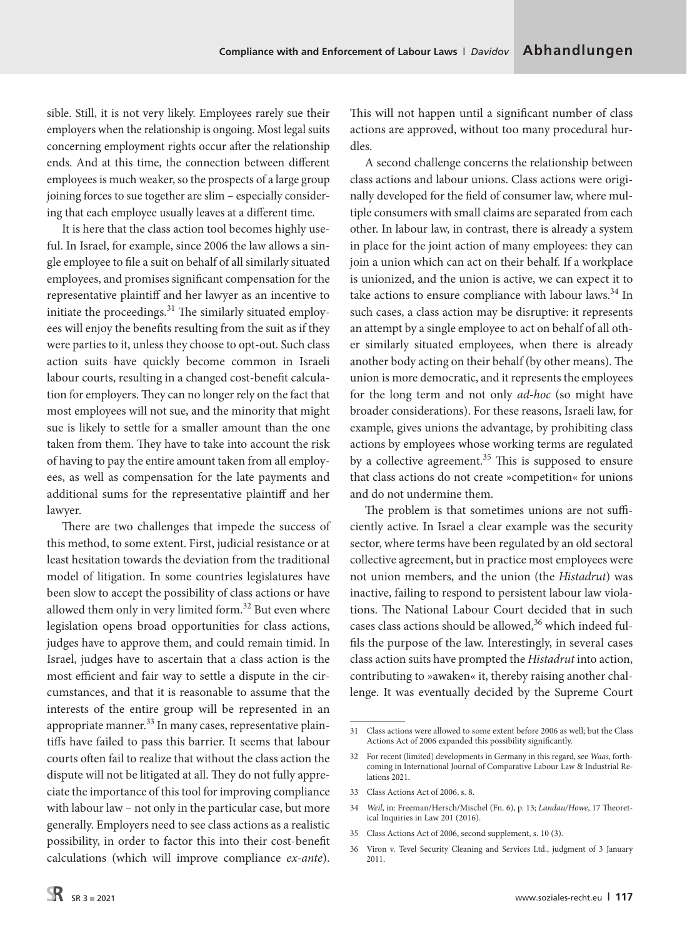sible. Still, it is not very likely. Employees rarely sue their employers when the relationship is ongoing. Most legal suits concerning employment rights occur after the relationship ends. And at this time, the connection between different employees is much weaker, so the prospects of a large group joining forces to sue together are slim – especially considering that each employee usually leaves at a different time.

It is here that the class action tool becomes highly useful. In Israel, for example, since 2006 the law allows a single employee to file a suit on behalf of all similarly situated employees, and promises significant compensation for the representative plaintiff and her lawyer as an incentive to initiate the proceedings.<sup>31</sup> The similarly situated employees will enjoy the benefits resulting from the suit as if they were parties to it, unless they choose to opt-out. Such class action suits have quickly become common in Israeli labour courts, resulting in a changed cost-benefit calculation for employers. They can no longer rely on the fact that most employees will not sue, and the minority that might sue is likely to settle for a smaller amount than the one taken from them. They have to take into account the risk of having to pay the entire amount taken from all employees, as well as compensation for the late payments and additional sums for the representative plaintiff and her lawyer.

There are two challenges that impede the success of this method, to some extent. First, judicial resistance or at least hesitation towards the deviation from the traditional model of litigation. In some countries legislatures have been slow to accept the possibility of class actions or have allowed them only in very limited form.<sup>32</sup> But even where legislation opens broad opportunities for class actions, judges have to approve them, and could remain timid. In Israel, judges have to ascertain that a class action is the most efficient and fair way to settle a dispute in the circumstances, and that it is reasonable to assume that the interests of the entire group will be represented in an appropriate manner.<sup>33</sup> In many cases, representative plaintiffs have failed to pass this barrier. It seems that labour courts often fail to realize that without the class action the dispute will not be litigated at all. They do not fully appreciate the importance of this tool for improving compliance with labour law – not only in the particular case, but more generally. Employers need to see class actions as a realistic possibility, in order to factor this into their cost-benefit calculations (which will improve compliance *ex-ante*).

This will not happen until a significant number of class actions are approved, without too many procedural hurdles.

A second challenge concerns the relationship between class actions and labour unions. Class actions were originally developed for the field of consumer law, where multiple consumers with small claims are separated from each other. In labour law, in contrast, there is already a system in place for the joint action of many employees: they can join a union which can act on their behalf. If a workplace is unionized, and the union is active, we can expect it to take actions to ensure compliance with labour laws.<sup>34</sup> In such cases, a class action may be disruptive: it represents an attempt by a single employee to act on behalf of all other similarly situated employees, when there is already another body acting on their behalf (by other means). The union is more democratic, and it represents the employees for the long term and not only *ad-hoc* (so might have broader considerations). For these reasons, Israeli law, for example, gives unions the advantage, by prohibiting class actions by employees whose working terms are regulated by a collective agreement.<sup>35</sup> This is supposed to ensure that class actions do not create »competition« for unions and do not undermine them.

The problem is that sometimes unions are not sufficiently active. In Israel a clear example was the security sector, where terms have been regulated by an old sectoral collective agreement, but in practice most employees were not union members, and the union (the *Histadrut*) was inactive, failing to respond to persistent labour law violations. The National Labour Court decided that in such cases class actions should be allowed, $36$  which indeed fulfils the purpose of the law. Interestingly, in several cases class action suits have prompted the *Histadrut* into action, contributing to »awaken« it, thereby raising another challenge. It was eventually decided by the Supreme Court

- 33 Class Actions Act of 2006, s. 8.
- 34 *Weil*, in: Freeman/Hersch/Mischel (Fn. 6), p. 13; *Landau/Howe*, 17 Theoretical Inquiries in Law 201 (2016).
- 35 Class Actions Act of 2006, second supplement, s. 10 (3).
- 36 Viron v. Tevel Security Cleaning and Services Ltd., judgment of 3 January 2011.

<sup>31</sup> Class actions were allowed to some extent before 2006 as well; but the Class Actions Act of 2006 expanded this possibility significantly.

<sup>32</sup> For recent (limited) developments in Germany in this regard, see *Waas*, forthcoming in International Journal of Comparative Labour Law & Industrial Relations 2021.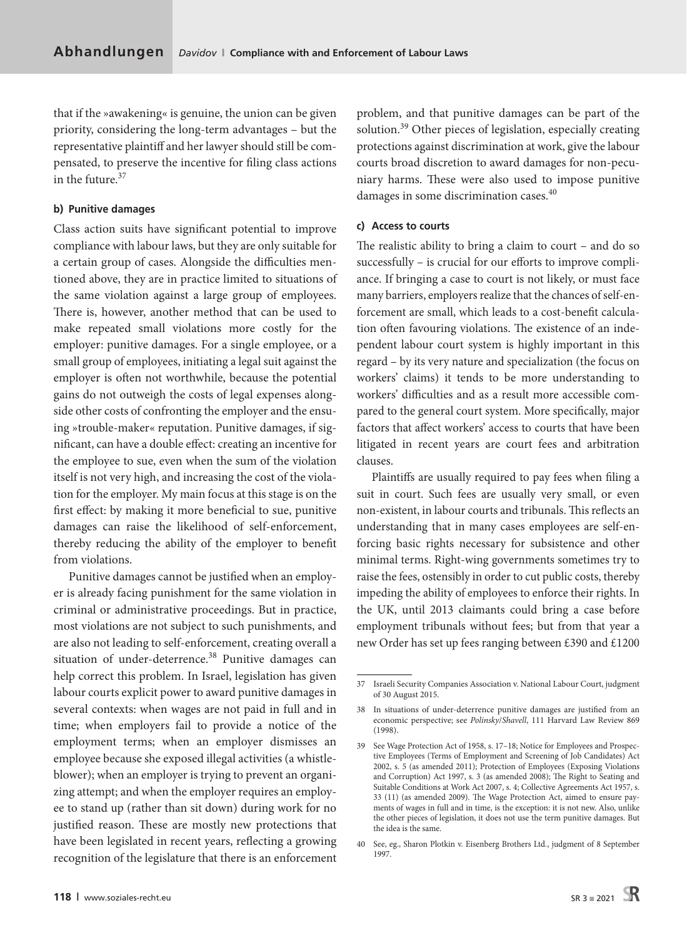that if the »awakening« is genuine, the union can be given priority, considering the long-term advantages – but the representative plaintiff and her lawyer should still be compensated, to preserve the incentive for filing class actions in the future  $37$ 

#### **b) Punitive damages**

Class action suits have significant potential to improve compliance with labour laws, but they are only suitable for a certain group of cases. Alongside the difficulties mentioned above, they are in practice limited to situations of the same violation against a large group of employees. There is, however, another method that can be used to make repeated small violations more costly for the employer: punitive damages. For a single employee, or a small group of employees, initiating a legal suit against the employer is often not worthwhile, because the potential gains do not outweigh the costs of legal expenses alongside other costs of confronting the employer and the ensuing »trouble-maker« reputation. Punitive damages, if significant, can have a double effect: creating an incentive for the employee to sue, even when the sum of the violation itself is not very high, and increasing the cost of the violation for the employer. My main focus at this stage is on the first effect: by making it more beneficial to sue, punitive damages can raise the likelihood of self-enforcement, thereby reducing the ability of the employer to benefit from violations.

Punitive damages cannot be justified when an employer is already facing punishment for the same violation in criminal or administrative proceedings. But in practice, most violations are not subject to such punishments, and are also not leading to self-enforcement, creating overall a situation of under-deterrence.<sup>38</sup> Punitive damages can help correct this problem. In Israel, legislation has given labour courts explicit power to award punitive damages in several contexts: when wages are not paid in full and in time; when employers fail to provide a notice of the employment terms; when an employer dismisses an employee because she exposed illegal activities (a whistleblower); when an employer is trying to prevent an organizing attempt; and when the employer requires an employee to stand up (rather than sit down) during work for no justified reason. These are mostly new protections that have been legislated in recent years, reflecting a growing recognition of the legislature that there is an enforcement problem, and that punitive damages can be part of the solution.<sup>39</sup> Other pieces of legislation, especially creating protections against discrimination at work, give the labour courts broad discretion to award damages for non-pecuniary harms. These were also used to impose punitive damages in some discrimination cases.<sup>40</sup>

#### **c) Access to courts**

The realistic ability to bring a claim to court – and do so successfully – is crucial for our efforts to improve compliance. If bringing a case to court is not likely, or must face many barriers, employers realize that the chances of self-enforcement are small, which leads to a cost-benefit calculation often favouring violations. The existence of an independent labour court system is highly important in this regard – by its very nature and specialization (the focus on workers' claims) it tends to be more understanding to workers' difficulties and as a result more accessible compared to the general court system. More specifically, major factors that affect workers' access to courts that have been litigated in recent years are court fees and arbitration clauses.

Plaintiffs are usually required to pay fees when filing a suit in court. Such fees are usually very small, or even non-existent, in labour courts and tribunals. This reflects an understanding that in many cases employees are self-enforcing basic rights necessary for subsistence and other minimal terms. Right-wing governments sometimes try to raise the fees, ostensibly in order to cut public costs, thereby impeding the ability of employees to enforce their rights. In the UK, until 2013 claimants could bring a case before employment tribunals without fees; but from that year a new Order has set up fees ranging between £390 and £1200

<sup>37</sup> Israeli Security Companies Association v. National Labour Court, judgment of 30 August 2015.

<sup>38</sup> In situations of under-deterrence punitive damages are justified from an economic perspective; see *Polinsky*/*Shavell*, 111 Harvard Law Review 869 (1998).

<sup>39</sup> See Wage Protection Act of 1958, s. 17–18; Notice for Employees and Prospective Employees (Terms of Employment and Screening of Job Candidates) Act 2002, s. 5 (as amended 2011); Protection of Employees (Exposing Violations and Corruption) Act 1997, s. 3 (as amended 2008); The Right to Seating and Suitable Conditions at Work Act 2007, s. 4; Collective Agreements Act 1957, s. 33 (11) (as amended 2009). The Wage Protection Act, aimed to ensure payments of wages in full and in time, is the exception: it is not new. Also, unlike the other pieces of legislation, it does not use the term punitive damages. But the idea is the same.

<sup>40</sup> See, eg., Sharon Plotkin v. Eisenberg Brothers Ltd*.*, judgment of 8 September 1997.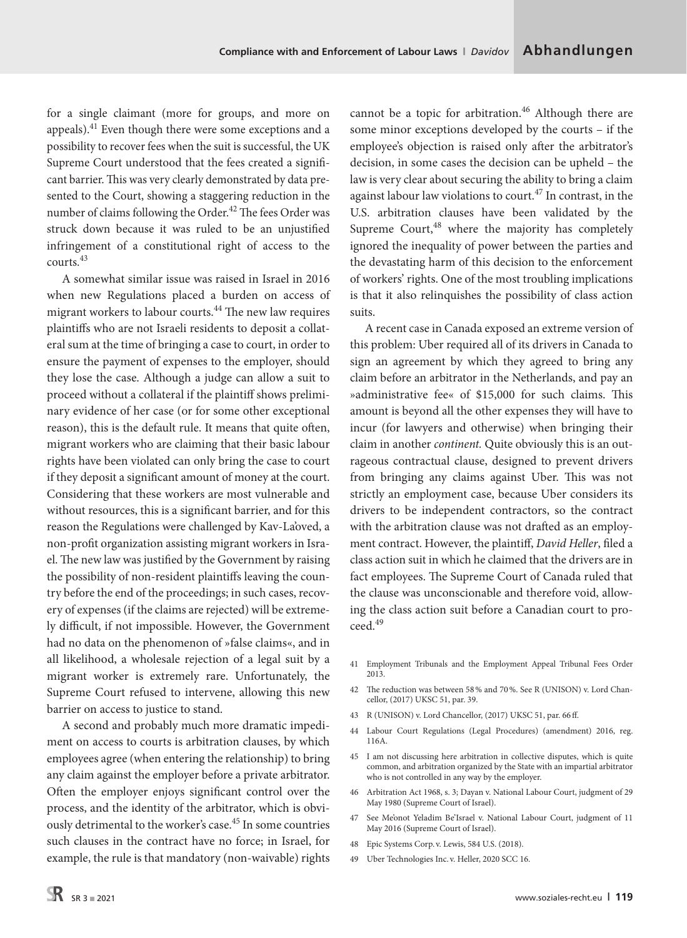for a single claimant (more for groups, and more on appeals).41 Even though there were some exceptions and a possibility to recover fees when the suit is successful, the UK Supreme Court understood that the fees created a significant barrier. This was very clearly demonstrated by data presented to the Court, showing a staggering reduction in the number of claims following the Order.<sup>42</sup> The fees Order was struck down because it was ruled to be an unjustified infringement of a constitutional right of access to the courts.43

A somewhat similar issue was raised in Israel in 2016 when new Regulations placed a burden on access of migrant workers to labour courts.44 The new law requires plaintiffs who are not Israeli residents to deposit a collateral sum at the time of bringing a case to court, in order to ensure the payment of expenses to the employer, should they lose the case. Although a judge can allow a suit to proceed without a collateral if the plaintiff shows preliminary evidence of her case (or for some other exceptional reason), this is the default rule. It means that quite often, migrant workers who are claiming that their basic labour rights have been violated can only bring the case to court if they deposit a significant amount of money at the court. Considering that these workers are most vulnerable and without resources, this is a significant barrier, and for this reason the Regulations were challenged by Kav-La'oved, a non-profit organization assisting migrant workers in Israel. The new law was justified by the Government by raising the possibility of non-resident plaintiffs leaving the country before the end of the proceedings; in such cases, recovery of expenses (if the claims are rejected) will be extremely difficult, if not impossible. However, the Government had no data on the phenomenon of »false claims«, and in all likelihood, a wholesale rejection of a legal suit by a migrant worker is extremely rare. Unfortunately, the Supreme Court refused to intervene, allowing this new barrier on access to justice to stand.

A second and probably much more dramatic impediment on access to courts is arbitration clauses, by which employees agree (when entering the relationship) to bring any claim against the employer before a private arbitrator. Often the employer enjoys significant control over the process, and the identity of the arbitrator, which is obviously detrimental to the worker's case.<sup>45</sup> In some countries such clauses in the contract have no force; in Israel, for example, the rule is that mandatory (non-waivable) rights

cannot be a topic for arbitration.<sup>46</sup> Although there are some minor exceptions developed by the courts – if the employee's objection is raised only after the arbitrator's decision, in some cases the decision can be upheld – the law is very clear about securing the ability to bring a claim against labour law violations to court.<sup>47</sup> In contrast, in the U.S. arbitration clauses have been validated by the Supreme Court, $48$  where the majority has completely ignored the inequality of power between the parties and the devastating harm of this decision to the enforcement of workers' rights. One of the most troubling implications is that it also relinquishes the possibility of class action suits.

A recent case in Canada exposed an extreme version of this problem: Uber required all of its drivers in Canada to sign an agreement by which they agreed to bring any claim before an arbitrator in the Netherlands, and pay an »administrative fee« of \$15,000 for such claims. This amount is beyond all the other expenses they will have to incur (for lawyers and otherwise) when bringing their claim in another *continent.* Quite obviously this is an outrageous contractual clause, designed to prevent drivers from bringing any claims against Uber. This was not strictly an employment case, because Uber considers its drivers to be independent contractors, so the contract with the arbitration clause was not drafted as an employment contract. However, the plaintiff, *David Heller*, filed a class action suit in which he claimed that the drivers are in fact employees. The Supreme Court of Canada ruled that the clause was unconscionable and therefore void, allowing the class action suit before a Canadian court to proceed.49

- 41 Employment Tribunals and the Employment Appeal Tribunal Fees Order 2013.
- 42 The reduction was between 58% and 70%. See R (UNISON) v. Lord Chancellor, (2017) UKSC 51, par. 39.
- 43 R (UNISON) v. Lord Chancellor, (2017) UKSC 51, par. 66ff.
- 44 Labour Court Regulations (Legal Procedures) (amendment) 2016, reg. 116A.
- 45 I am not discussing here arbitration in collective disputes, which is quite common, and arbitration organized by the State with an impartial arbitrator who is not controlled in any way by the employer.
- 46 Arbitration Act 1968, s. 3; Dayan v. National Labour Court, judgment of 29 May 1980 (Supreme Court of Israel).
- 47 See Me'onot Yeladim Be'Israel v. National Labour Court, judgment of 11 May 2016 (Supreme Court of Israel).
- 48 Epic Systems Corp. v. Lewis, 584 U.S. (2018).
- 49 Uber Technologies Inc. v. Heller, 2020 SCC 16.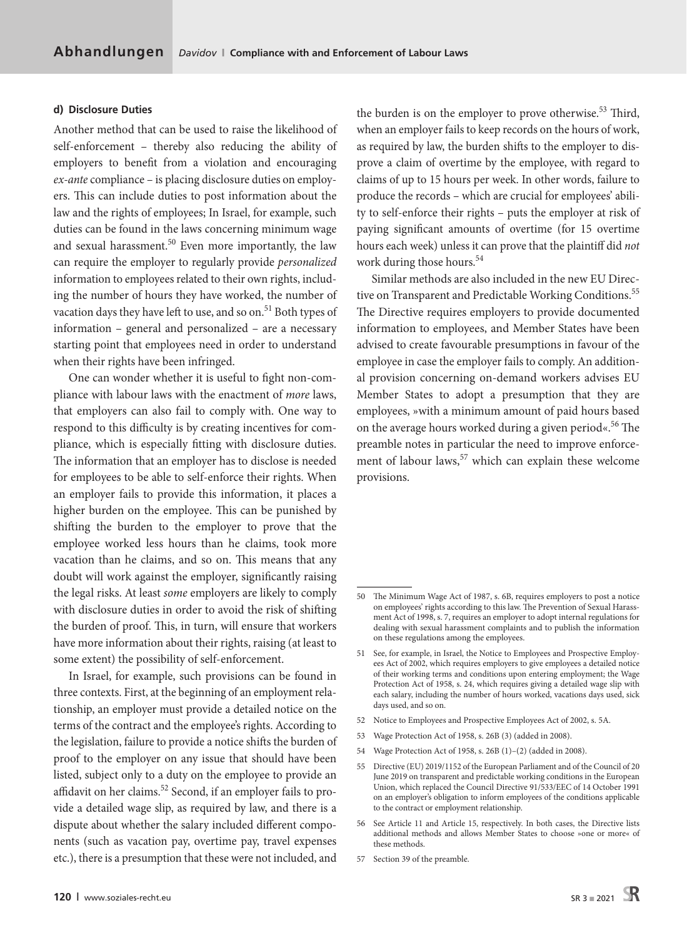#### **d) Disclosure Duties**

Another method that can be used to raise the likelihood of self-enforcement – thereby also reducing the ability of employers to benefit from a violation and encouraging *ex-ante* compliance – is placing disclosure duties on employers. This can include duties to post information about the law and the rights of employees; In Israel, for example, such duties can be found in the laws concerning minimum wage and sexual harassment. $50$  Even more importantly, the law can require the employer to regularly provide *personalized* information to employees related to their own rights, including the number of hours they have worked, the number of vacation days they have left to use, and so on.<sup>51</sup> Both types of information – general and personalized – are a necessary starting point that employees need in order to understand when their rights have been infringed.

One can wonder whether it is useful to fight non-compliance with labour laws with the enactment of *more* laws, that employers can also fail to comply with. One way to respond to this difficulty is by creating incentives for compliance, which is especially fitting with disclosure duties. The information that an employer has to disclose is needed for employees to be able to self-enforce their rights. When an employer fails to provide this information, it places a higher burden on the employee. This can be punished by shifting the burden to the employer to prove that the employee worked less hours than he claims, took more vacation than he claims, and so on. This means that any doubt will work against the employer, significantly raising the legal risks. At least *some* employers are likely to comply with disclosure duties in order to avoid the risk of shifting the burden of proof. This, in turn, will ensure that workers have more information about their rights, raising (at least to some extent) the possibility of self-enforcement.

In Israel, for example, such provisions can be found in three contexts. First, at the beginning of an employment relationship, an employer must provide a detailed notice on the terms of the contract and the employee's rights. According to the legislation, failure to provide a notice shifts the burden of proof to the employer on any issue that should have been listed, subject only to a duty on the employee to provide an affidavit on her claims.<sup>52</sup> Second, if an employer fails to provide a detailed wage slip, as required by law, and there is a dispute about whether the salary included different components (such as vacation pay, overtime pay, travel expenses etc.), there is a presumption that these were not included, and the burden is on the employer to prove otherwise.<sup>53</sup> Third, when an employer fails to keep records on the hours of work, as required by law, the burden shifts to the employer to disprove a claim of overtime by the employee, with regard to claims of up to 15 hours per week. In other words, failure to produce the records – which are crucial for employees' ability to self-enforce their rights – puts the employer at risk of paying significant amounts of overtime (for 15 overtime hours each week) unless it can prove that the plaintiff did *not*  work during those hours.<sup>54</sup>

Similar methods are also included in the new EU Directive on Transparent and Predictable Working Conditions.<sup>55</sup> The Directive requires employers to provide documented information to employees, and Member States have been advised to create favourable presumptions in favour of the employee in case the employer fails to comply. An additional provision concerning on-demand workers advises EU Member States to adopt a presumption that they are employees, »with a minimum amount of paid hours based on the average hours worked during a given period«.<sup>56</sup> The preamble notes in particular the need to improve enforcement of labour laws,<sup>57</sup> which can explain these welcome provisions.

- 52 Notice to Employees and Prospective Employees Act of 2002, s. 5A.
- 53 Wage Protection Act of 1958, s. 26B (3) (added in 2008).
- 54 Wage Protection Act of 1958, s. 26B (1)–(2) (added in 2008).
- 55 Directive (EU) 2019/1152 of the European Parliament and of the Council of 20 June 2019 on transparent and predictable working conditions in the European Union, which replaced the Council Directive 91/533/EEC of 14 October 1991 on an employer's obligation to inform employees of the conditions applicable to the contract or employment relationship.
- 56 See Article 11 and Article 15, respectively. In both cases, the Directive lists additional methods and allows Member States to choose »one or more« of these methods.
- 57 Section 39 of the preamble.

<sup>50</sup> The Minimum Wage Act of 1987, s. 6B, requires employers to post a notice on employees' rights according to this law. The Prevention of Sexual Harassment Act of 1998, s. 7, requires an employer to adopt internal regulations for dealing with sexual harassment complaints and to publish the information on these regulations among the employees.

<sup>51</sup> See, for example, in Israel, the Notice to Employees and Prospective Employees Act of 2002, which requires employers to give employees a detailed notice of their working terms and conditions upon entering employment; the Wage Protection Act of 1958, s. 24, which requires giving a detailed wage slip with each salary, including the number of hours worked, vacations days used, sick days used, and so on.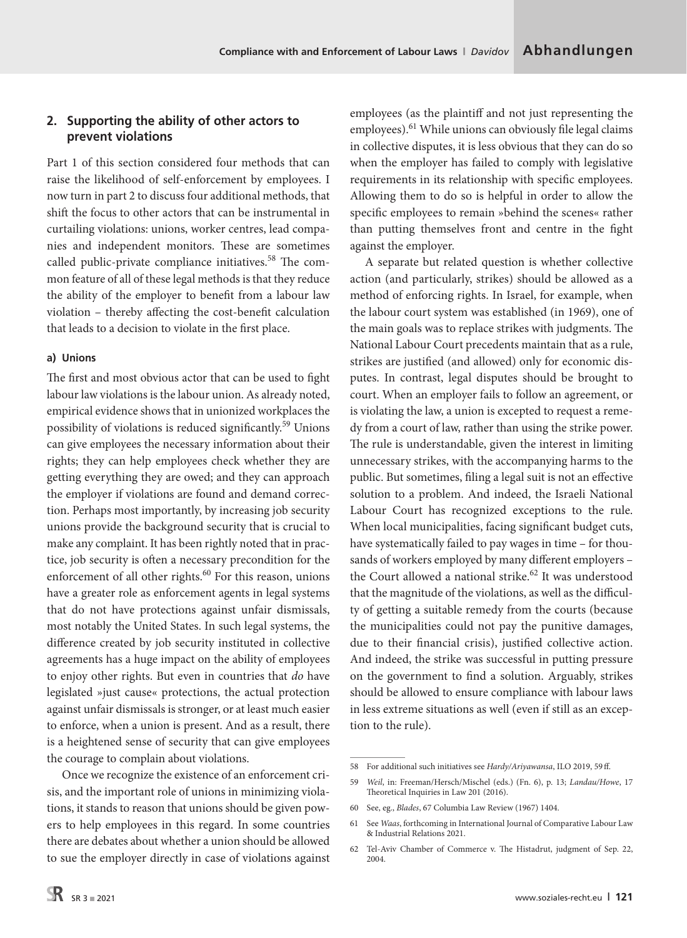## **2. Supporting the ability of other actors to prevent violations**

Part 1 of this section considered four methods that can raise the likelihood of self-enforcement by employees. I now turn in part 2 to discuss four additional methods, that shift the focus to other actors that can be instrumental in curtailing violations: unions, worker centres, lead companies and independent monitors. These are sometimes called public-private compliance initiatives.<sup>58</sup> The common feature of all of these legal methods is that they reduce the ability of the employer to benefit from a labour law violation – thereby affecting the cost-benefit calculation that leads to a decision to violate in the first place.

## **a) Unions**

The first and most obvious actor that can be used to fight labour law violations is the labour union. As already noted, empirical evidence shows that in unionized workplaces the possibility of violations is reduced significantly.59 Unions can give employees the necessary information about their rights; they can help employees check whether they are getting everything they are owed; and they can approach the employer if violations are found and demand correction. Perhaps most importantly, by increasing job security unions provide the background security that is crucial to make any complaint. It has been rightly noted that in practice, job security is often a necessary precondition for the enforcement of all other rights.<sup>60</sup> For this reason, unions have a greater role as enforcement agents in legal systems that do not have protections against unfair dismissals, most notably the United States. In such legal systems, the difference created by job security instituted in collective agreements has a huge impact on the ability of employees to enjoy other rights. But even in countries that *do* have legislated »just cause« protections, the actual protection against unfair dismissals is stronger, or at least much easier to enforce, when a union is present. And as a result, there is a heightened sense of security that can give employees the courage to complain about violations.

Once we recognize the existence of an enforcement crisis, and the important role of unions in minimizing violations, it stands to reason that unions should be given powers to help employees in this regard. In some countries there are debates about whether a union should be allowed to sue the employer directly in case of violations against employees (as the plaintiff and not just representing the employees).<sup>61</sup> While unions can obviously file legal claims in collective disputes, it is less obvious that they can do so when the employer has failed to comply with legislative requirements in its relationship with specific employees. Allowing them to do so is helpful in order to allow the specific employees to remain »behind the scenes« rather than putting themselves front and centre in the fight against the employer.

A separate but related question is whether collective action (and particularly, strikes) should be allowed as a method of enforcing rights. In Israel, for example, when the labour court system was established (in 1969), one of the main goals was to replace strikes with judgments. The National Labour Court precedents maintain that as a rule, strikes are justified (and allowed) only for economic disputes. In contrast, legal disputes should be brought to court. When an employer fails to follow an agreement, or is violating the law, a union is excepted to request a remedy from a court of law, rather than using the strike power. The rule is understandable, given the interest in limiting unnecessary strikes, with the accompanying harms to the public. But sometimes, filing a legal suit is not an effective solution to a problem. And indeed, the Israeli National Labour Court has recognized exceptions to the rule. When local municipalities, facing significant budget cuts, have systematically failed to pay wages in time – for thousands of workers employed by many different employers – the Court allowed a national strike.<sup>62</sup> It was understood that the magnitude of the violations, as well as the difficulty of getting a suitable remedy from the courts (because the municipalities could not pay the punitive damages, due to their financial crisis), justified collective action. And indeed, the strike was successful in putting pressure on the government to find a solution. Arguably, strikes should be allowed to ensure compliance with labour laws in less extreme situations as well (even if still as an exception to the rule).

<sup>58</sup> For additional such initiatives see *Hardy/Ariyawansa*, ILO 2019, 59ff.

<sup>59</sup> *Weil*, in: Freeman/Hersch/Mischel (eds.) (Fn. 6), p. 13; *Landau/Howe*, 17 Theoretical Inquiries in Law 201 (2016).

<sup>60</sup> See, eg., *Blades*, 67 Columbia Law Review (1967) 1404.

<sup>61</sup> See *Waas*, forthcoming in International Journal of Comparative Labour Law & Industrial Relations 2021.

<sup>62</sup> Tel-Aviv Chamber of Commerce v. The Histadrut, judgment of Sep. 22, 2004.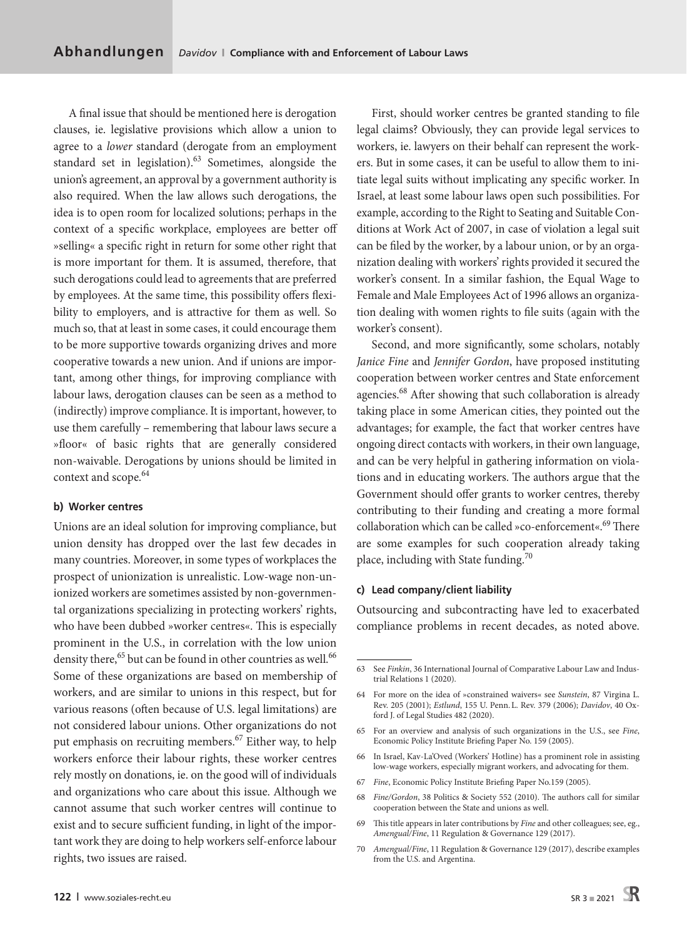A final issue that should be mentioned here is derogation clauses, ie. legislative provisions which allow a union to agree to a *lower* standard (derogate from an employment standard set in legislation).<sup>63</sup> Sometimes, alongside the union's agreement, an approval by a government authority is also required. When the law allows such derogations, the idea is to open room for localized solutions; perhaps in the context of a specific workplace, employees are better off »selling« a specific right in return for some other right that is more important for them. It is assumed, therefore, that such derogations could lead to agreements that are preferred by employees. At the same time, this possibility offers flexibility to employers, and is attractive for them as well. So much so, that at least in some cases, it could encourage them to be more supportive towards organizing drives and more cooperative towards a new union. And if unions are important, among other things, for improving compliance with labour laws, derogation clauses can be seen as a method to (indirectly) improve compliance. It is important, however, to use them carefully – remembering that labour laws secure a »floor« of basic rights that are generally considered non-waivable. Derogations by unions should be limited in context and scope.<sup>64</sup>

### **b) Worker centres**

Unions are an ideal solution for improving compliance, but union density has dropped over the last few decades in many countries. Moreover, in some types of workplaces the prospect of unionization is unrealistic. Low-wage non-unionized workers are sometimes assisted by non-governmental organizations specializing in protecting workers' rights, who have been dubbed »worker centres«. This is especially prominent in the U.S., in correlation with the low union density there,<sup>65</sup> but can be found in other countries as well.<sup>66</sup> Some of these organizations are based on membership of workers, and are similar to unions in this respect, but for various reasons (often because of U.S. legal limitations) are not considered labour unions. Other organizations do not put emphasis on recruiting members.<sup>67</sup> Either way, to help workers enforce their labour rights, these worker centres rely mostly on donations, ie. on the good will of individuals and organizations who care about this issue. Although we cannot assume that such worker centres will continue to exist and to secure sufficient funding, in light of the important work they are doing to help workers self-enforce labour rights, two issues are raised.

First, should worker centres be granted standing to file legal claims? Obviously, they can provide legal services to workers, ie. lawyers on their behalf can represent the workers. But in some cases, it can be useful to allow them to initiate legal suits without implicating any specific worker. In Israel, at least some labour laws open such possibilities. For example, according to the Right to Seating and Suitable Conditions at Work Act of 2007, in case of violation a legal suit can be filed by the worker, by a labour union, or by an organization dealing with workers' rights provided it secured the worker's consent. In a similar fashion, the Equal Wage to Female and Male Employees Act of 1996 allows an organization dealing with women rights to file suits (again with the worker's consent).

Second, and more significantly, some scholars, notably *Janice Fine* and *Jennifer Gordon*, have proposed instituting cooperation between worker centres and State enforcement agencies.<sup>68</sup> After showing that such collaboration is already taking place in some American cities, they pointed out the advantages; for example, the fact that worker centres have ongoing direct contacts with workers, in their own language, and can be very helpful in gathering information on violations and in educating workers. The authors argue that the Government should offer grants to worker centres, thereby contributing to their funding and creating a more formal collaboration which can be called »co-enforcement«.<sup>69</sup> There are some examples for such cooperation already taking place, including with State funding. $70$ 

#### **c) Lead company/client liability**

Outsourcing and subcontracting have led to exacerbated compliance problems in recent decades, as noted above.

- 67 *Fine*, Economic Policy Institute Briefing Paper No.159 (2005).
- 68 *Fine/Gordon*, 38 Politics & Society 552 (2010). The authors call for similar cooperation between the State and unions as well.
- 69 This title appears in later contributions by *Fine* and other colleagues; see, eg., *Amengual/Fine*, 11 Regulation & Governance 129 (2017).
- 70 *Amengual/Fine*, 11 Regulation & Governance 129 (2017), describe examples from the U.S. and Argentina.

<sup>63</sup> See *Finkin*, 36 International Journal of Comparative Labour Law and Industrial Relations 1 (2020).

<sup>64</sup> For more on the idea of »constrained waivers« see *Sunstein*, 87 Virgina L. Rev. 205 (2001); *Estlund*, 155 U. Penn.L. Rev. 379 (2006); *Davidov*, 40 Oxford J. of Legal Studies 482 (2020).

<sup>65</sup> For an overview and analysis of such organizations in the U.S., see *Fine*, Economic Policy Institute Briefing Paper No. 159 (2005).

<sup>66</sup> In Israel, Kav-La'Oved (Workers' Hotline) has a prominent role in assisting low-wage workers, especially migrant workers, and advocating for them.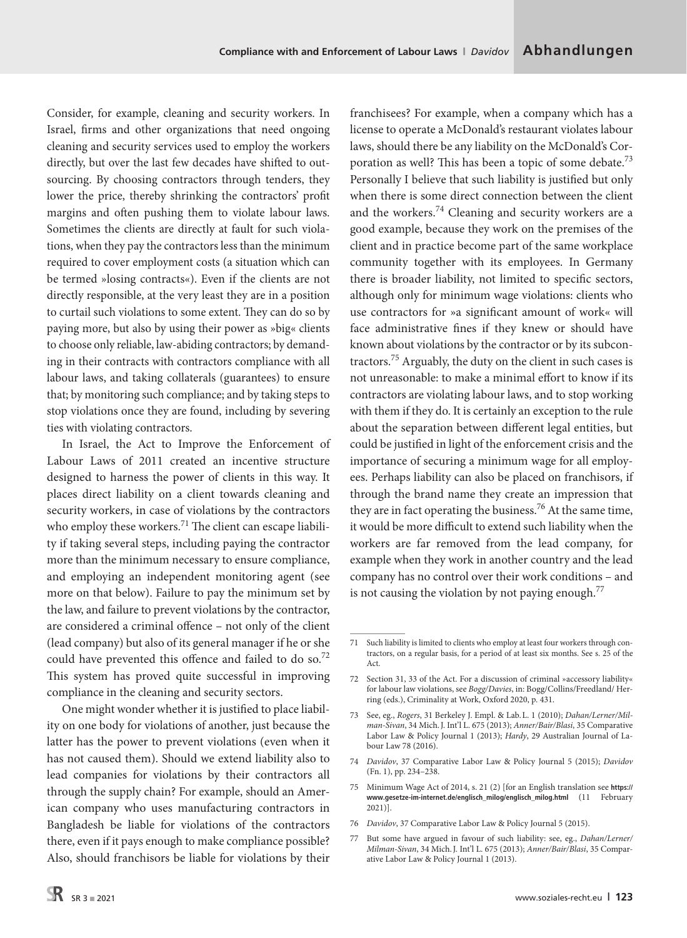Consider, for example, cleaning and security workers. In Israel, firms and other organizations that need ongoing cleaning and security services used to employ the workers directly, but over the last few decades have shifted to outsourcing. By choosing contractors through tenders, they lower the price, thereby shrinking the contractors' profit margins and often pushing them to violate labour laws. Sometimes the clients are directly at fault for such violations, when they pay the contractors less than the minimum required to cover employment costs (a situation which can be termed »losing contracts«). Even if the clients are not directly responsible, at the very least they are in a position to curtail such violations to some extent. They can do so by paying more, but also by using their power as »big« clients to choose only reliable, law-abiding contractors; by demanding in their contracts with contractors compliance with all labour laws, and taking collaterals (guarantees) to ensure that; by monitoring such compliance; and by taking steps to stop violations once they are found, including by severing ties with violating contractors.

In Israel, the Act to Improve the Enforcement of Labour Laws of 2011 created an incentive structure designed to harness the power of clients in this way. It places direct liability on a client towards cleaning and security workers, in case of violations by the contractors who employ these workers.<sup>71</sup> The client can escape liability if taking several steps, including paying the contractor more than the minimum necessary to ensure compliance, and employing an independent monitoring agent (see more on that below). Failure to pay the minimum set by the law, and failure to prevent violations by the contractor, are considered a criminal offence – not only of the client (lead company) but also of its general manager if he or she could have prevented this offence and failed to do so.<sup>72</sup> This system has proved quite successful in improving compliance in the cleaning and security sectors.

One might wonder whether it is justified to place liability on one body for violations of another, just because the latter has the power to prevent violations (even when it has not caused them). Should we extend liability also to lead companies for violations by their contractors all through the supply chain? For example, should an American company who uses manufacturing contractors in Bangladesh be liable for violations of the contractors there, even if it pays enough to make compliance possible? Also, should franchisors be liable for violations by their

franchisees? For example, when a company which has a license to operate a McDonald's restaurant violates labour laws, should there be any liability on the McDonald's Corporation as well? This has been a topic of some debate.<sup>73</sup> Personally I believe that such liability is justified but only when there is some direct connection between the client and the workers. $74$  Cleaning and security workers are a good example, because they work on the premises of the client and in practice become part of the same workplace community together with its employees. In Germany there is broader liability, not limited to specific sectors, although only for minimum wage violations: clients who use contractors for »a significant amount of work« will face administrative fines if they knew or should have known about violations by the contractor or by its subcontractors.75 Arguably, the duty on the client in such cases is not unreasonable: to make a minimal effort to know if its contractors are violating labour laws, and to stop working with them if they do. It is certainly an exception to the rule about the separation between different legal entities, but could be justified in light of the enforcement crisis and the importance of securing a minimum wage for all employees. Perhaps liability can also be placed on franchisors, if through the brand name they create an impression that they are in fact operating the business.<sup>76</sup> At the same time, it would be more difficult to extend such liability when the workers are far removed from the lead company, for example when they work in another country and the lead company has no control over their work conditions – and is not causing the violation by not paying enough.<sup>77</sup>

<sup>71</sup> Such liability is limited to clients who employ at least four workers through contractors, on a regular basis, for a period of at least six months. See s. 25 of the Act.

<sup>72</sup> Section 31, 33 of the Act. For a discussion of criminal »accessory liability« for labour law violations, see *Bogg/Davies*, in: Bogg/Collins/Freedland/ Herring (eds.), Criminality at Work, Oxford 2020, p. 431.

<sup>73</sup> See, eg., *Rogers*, 31 Berkeley J. Empl. & Lab.L. 1 (2010); *Dahan/Lerner/Milman-Sivan*, 34 Mich.J. Int'l L. 675 (2013); *Anner/Bair/Blasi*, 35 Comparative Labor Law & Policy Journal 1 (2013); *Hardy*, 29 Australian Journal of Labour Law 78 (2016).

<sup>74</sup> *Davidov*, 37 Comparative Labor Law & Policy Journal 5 (2015); *Davidov* (Fn. 1), pp. 234–238.

<sup>75</sup> Minimum Wage Act of 2014, s. 21 (2) [for an English translation see **[https://](https://www.gesetze-im-internet.de/englisch_milog/englisch_milog.html) [www.gesetze-im-internet.de/englisch\\_milog/englisch\\_milog.html](https://www.gesetze-im-internet.de/englisch_milog/englisch_milog.html)** (11 February 2021)].

<sup>76</sup> *Davidov*, 37 Comparative Labor Law & Policy Journal 5 (2015).

<sup>77</sup> But some have argued in favour of such liability: see, eg., *Dahan/Lerner/ Milman-Sivan*, 34 Mich.J. Int'l L. 675 (2013); *Anner/Bair/Blasi*, 35 Comparative Labor Law & Policy Journal 1 (2013).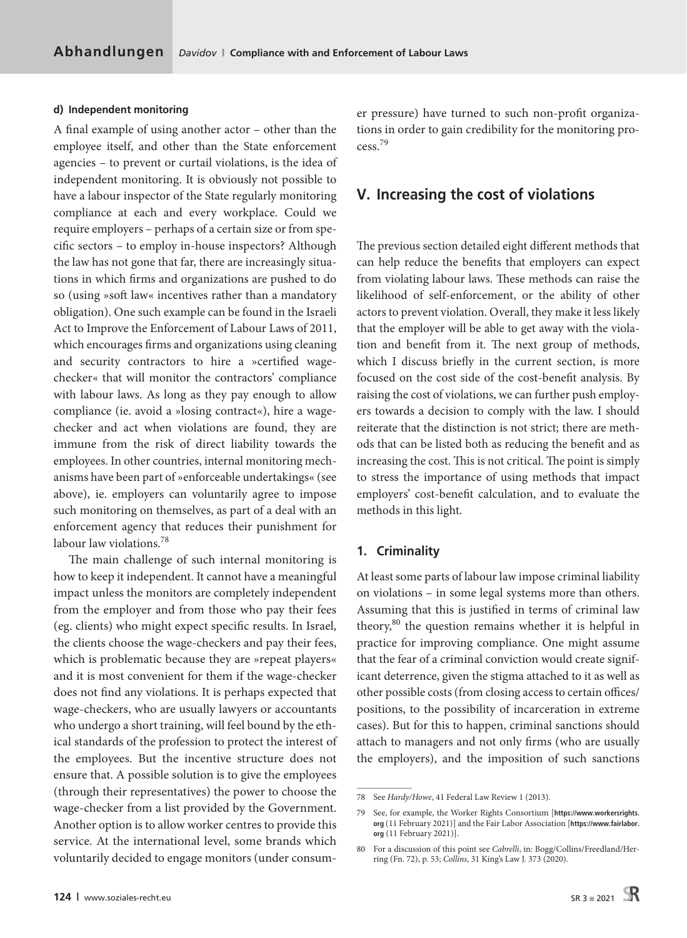#### **d) Independent monitoring**

A final example of using another actor – other than the employee itself, and other than the State enforcement agencies – to prevent or curtail violations, is the idea of independent monitoring. It is obviously not possible to have a labour inspector of the State regularly monitoring compliance at each and every workplace. Could we require employers – perhaps of a certain size or from specific sectors – to employ in-house inspectors? Although the law has not gone that far, there are increasingly situations in which firms and organizations are pushed to do so (using »soft law« incentives rather than a mandatory obligation). One such example can be found in the Israeli Act to Improve the Enforcement of Labour Laws of 2011, which encourages firms and organizations using cleaning and security contractors to hire a »certified wagechecker« that will monitor the contractors' compliance with labour laws. As long as they pay enough to allow compliance (ie. avoid a »losing contract«), hire a wagechecker and act when violations are found, they are immune from the risk of direct liability towards the employees. In other countries, internal monitoring mechanisms have been part of »enforceable undertakings« (see above), ie. employers can voluntarily agree to impose such monitoring on themselves, as part of a deal with an enforcement agency that reduces their punishment for labour law violations.<sup>78</sup>

The main challenge of such internal monitoring is how to keep it independent. It cannot have a meaningful impact unless the monitors are completely independent from the employer and from those who pay their fees (eg. clients) who might expect specific results. In Israel, the clients choose the wage-checkers and pay their fees, which is problematic because they are »repeat players« and it is most convenient for them if the wage-checker does not find any violations. It is perhaps expected that wage-checkers, who are usually lawyers or accountants who undergo a short training, will feel bound by the ethical standards of the profession to protect the interest of the employees. But the incentive structure does not ensure that. A possible solution is to give the employees (through their representatives) the power to choose the wage-checker from a list provided by the Government. Another option is to allow worker centres to provide this service. At the international level, some brands which voluntarily decided to engage monitors (under consumer pressure) have turned to such non-profit organizations in order to gain credibility for the monitoring process.79

# **V. Increasing the cost of violations**

The previous section detailed eight different methods that can help reduce the benefits that employers can expect from violating labour laws. These methods can raise the likelihood of self-enforcement, or the ability of other actors to prevent violation. Overall, they make it less likely that the employer will be able to get away with the violation and benefit from it. The next group of methods, which I discuss briefly in the current section, is more focused on the cost side of the cost-benefit analysis. By raising the cost of violations, we can further push employers towards a decision to comply with the law. I should reiterate that the distinction is not strict; there are methods that can be listed both as reducing the benefit and as increasing the cost. This is not critical. The point is simply to stress the importance of using methods that impact employers' cost-benefit calculation, and to evaluate the methods in this light.

## **1. Criminality**

At least some parts of labour law impose criminal liability on violations – in some legal systems more than others. Assuming that this is justified in terms of criminal law theory, $80$  the question remains whether it is helpful in practice for improving compliance. One might assume that the fear of a criminal conviction would create significant deterrence, given the stigma attached to it as well as other possible costs (from closing access to certain offices/ positions, to the possibility of incarceration in extreme cases). But for this to happen, criminal sanctions should attach to managers and not only firms (who are usually the employers), and the imposition of such sanctions

<sup>78</sup> See *Hardy/Howe*, 41 Federal Law Review 1 (2013).

<sup>79</sup> See, for example, the Worker Rights Consortium [**[https://www.workersrights.](https://www.workersrights.org) [org](https://www.workersrights.org)** (11 February 2021)] and the Fair Labor Association [**[https://www.fairlabor.](https://www.fairlabor.org) [org](https://www.fairlabor.org)** (11 February 2021)].

<sup>80</sup> For a discussion of this point see *Cabrelli*, in: Bogg/Collins/Freedland/Herring (Fn. 72), p. 53; *Collins*, 31 King's Law J. 373 (2020).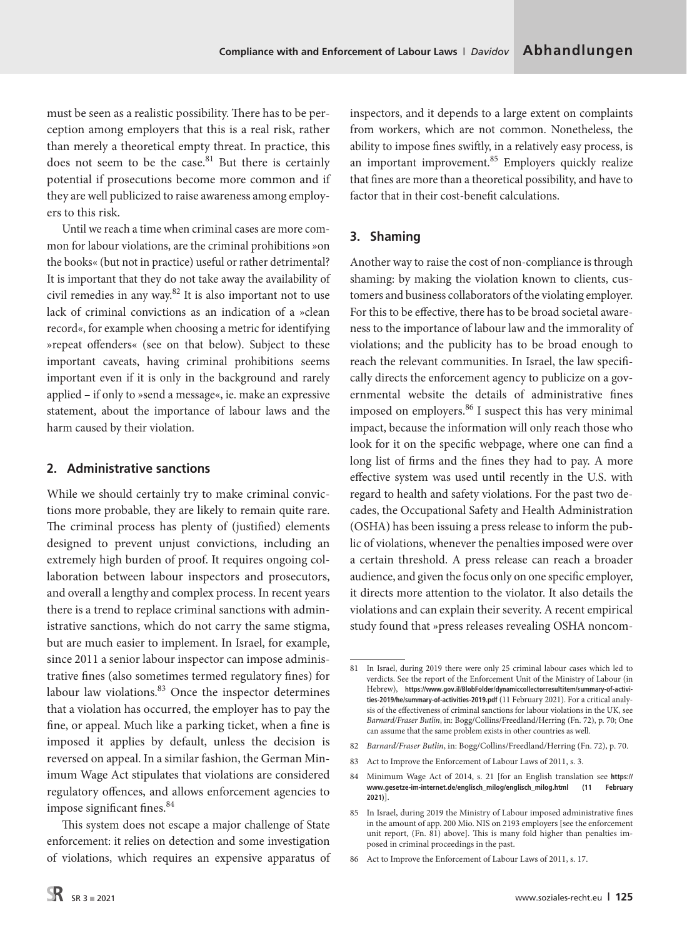must be seen as a realistic possibility. There has to be perception among employers that this is a real risk, rather than merely a theoretical empty threat. In practice, this does not seem to be the case.<sup>81</sup> But there is certainly potential if prosecutions become more common and if they are well publicized to raise awareness among employers to this risk.

Until we reach a time when criminal cases are more common for labour violations, are the criminal prohibitions »on the books« (but not in practice) useful or rather detrimental? It is important that they do not take away the availability of civil remedies in any way. $82$  It is also important not to use lack of criminal convictions as an indication of a »clean record«, for example when choosing a metric for identifying »repeat offenders« (see on that below). Subject to these important caveats, having criminal prohibitions seems important even if it is only in the background and rarely applied – if only to »send a message«, ie. make an expressive statement, about the importance of labour laws and the harm caused by their violation.

# **2. Administrative sanctions**

While we should certainly try to make criminal convictions more probable, they are likely to remain quite rare. The criminal process has plenty of (justified) elements designed to prevent unjust convictions, including an extremely high burden of proof. It requires ongoing collaboration between labour inspectors and prosecutors, and overall a lengthy and complex process. In recent years there is a trend to replace criminal sanctions with administrative sanctions, which do not carry the same stigma, but are much easier to implement. In Israel, for example, since 2011 a senior labour inspector can impose administrative fines (also sometimes termed regulatory fines) for labour law violations. $83$  Once the inspector determines that a violation has occurred, the employer has to pay the fine, or appeal. Much like a parking ticket, when a fine is imposed it applies by default, unless the decision is reversed on appeal. In a similar fashion, the German Minimum Wage Act stipulates that violations are considered regulatory offences, and allows enforcement agencies to impose significant fines.<sup>84</sup>

This system does not escape a major challenge of State enforcement: it relies on detection and some investigation of violations, which requires an expensive apparatus of inspectors, and it depends to a large extent on complaints from workers, which are not common. Nonetheless, the ability to impose fines swiftly, in a relatively easy process, is an important improvement.<sup>85</sup> Employers quickly realize that fines are more than a theoretical possibility, and have to factor that in their cost-benefit calculations.

# **3. Shaming**

Another way to raise the cost of non-compliance is through shaming: by making the violation known to clients, customers and business collaborators of the violating employer. For this to be effective, there has to be broad societal awareness to the importance of labour law and the immorality of violations; and the publicity has to be broad enough to reach the relevant communities. In Israel, the law specifically directs the enforcement agency to publicize on a governmental website the details of administrative fines imposed on employers.<sup>86</sup> I suspect this has very minimal impact, because the information will only reach those who look for it on the specific webpage, where one can find a long list of firms and the fines they had to pay. A more effective system was used until recently in the U.S. with regard to health and safety violations. For the past two decades, the Occupational Safety and Health Administration (OSHA) has been issuing a press release to inform the public of violations, whenever the penalties imposed were over a certain threshold. A press release can reach a broader audience, and given the focus only on one specific employer, it directs more attention to the violator. It also details the violations and can explain their severity. A recent empirical study found that »press releases revealing OSHA noncom-

<sup>81</sup> In Israel, during 2019 there were only 25 criminal labour cases which led to verdicts. See the report of the Enforcement Unit of the Ministry of Labour (in Hebrew), **[https://www.gov.il/BlobFolder/dynamiccollectorresultitem/summary-of-activi](https://www.gov.il/BlobFolder/dynamiccollectorresultitem/summary-of-activities-2019/he/summary-of-activities-2019.pdf)[ties-2019/he/summary-of-activities-2019.pdf](https://www.gov.il/BlobFolder/dynamiccollectorresultitem/summary-of-activities-2019/he/summary-of-activities-2019.pdf)** (11 February 2021). For a critical analysis of the effectiveness of criminal sanctions for labour violations in the UK, see *Barnard/Fraser Butlin*, in: Bogg/Collins/Freedland/Herring (Fn. 72), p. 70; One can assume that the same problem exists in other countries as well.

<sup>82</sup> *Barnard/Fraser Butlin*, in: Bogg/Collins/Freedland/Herring (Fn. 72), p. 70.

<sup>83</sup> Act to Improve the Enforcement of Labour Laws of 2011, s. 3.

<sup>84</sup> Minimum Wage Act of 2014, s. 21 [for an English translation see **[https://](https://www.gesetze-im-internet.de/englisch_milog/englisch_milog.html) [www.gesetze-im-internet.de/englisch\\_milog/englisch\\_milog.html](https://www.gesetze-im-internet.de/englisch_milog/englisch_milog.html) (11 February 2021)**].

<sup>85</sup> In Israel, during 2019 the Ministry of Labour imposed administrative fines in the amount of app. 200 Mio. NIS on 2193 employers [see the enforcement unit report, (Fn. 81) above]. This is many fold higher than penalties imposed in criminal proceedings in the past.

<sup>86</sup> Act to Improve the Enforcement of Labour Laws of 2011, s. 17.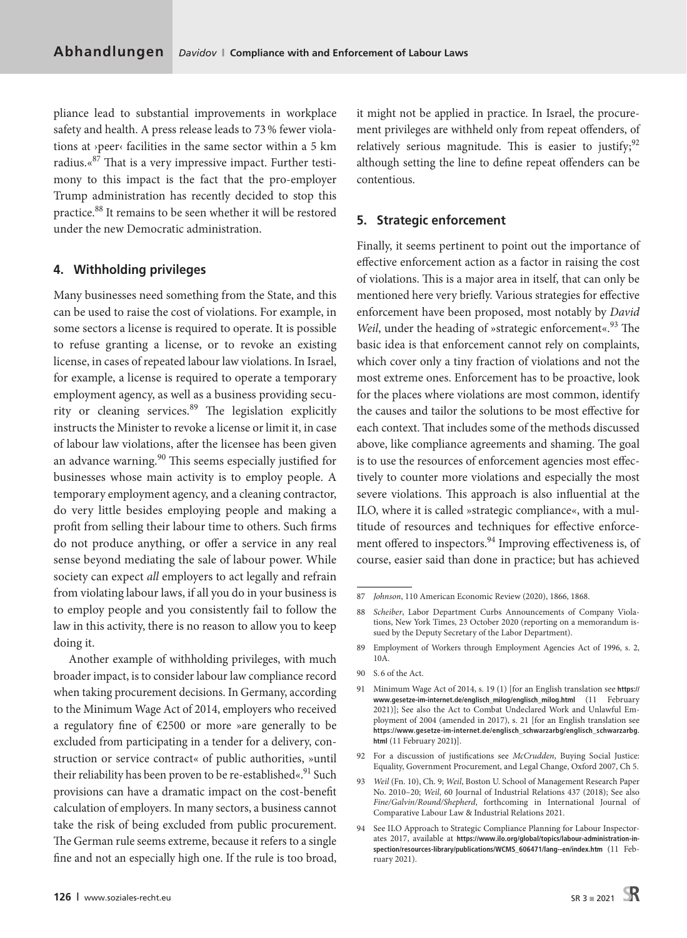pliance lead to substantial improvements in workplace safety and health. A press release leads to 73% fewer violations at ›peer‹ facilities in the same sector within a 5 km radius.«87 That is a very impressive impact. Further testimony to this impact is the fact that the pro-employer Trump administration has recently decided to stop this practice.88 It remains to be seen whether it will be restored under the new Democratic administration.

#### **4. Withholding privileges**

Many businesses need something from the State, and this can be used to raise the cost of violations. For example, in some sectors a license is required to operate. It is possible to refuse granting a license, or to revoke an existing license, in cases of repeated labour law violations. In Israel, for example, a license is required to operate a temporary employment agency, as well as a business providing security or cleaning services.<sup>89</sup> The legislation explicitly instructs the Minister to revoke a license or limit it, in case of labour law violations, after the licensee has been given an advance warning.<sup>90</sup> This seems especially justified for businesses whose main activity is to employ people. A temporary employment agency, and a cleaning contractor, do very little besides employing people and making a profit from selling their labour time to others. Such firms do not produce anything, or offer a service in any real sense beyond mediating the sale of labour power. While society can expect *all* employers to act legally and refrain from violating labour laws, if all you do in your business is to employ people and you consistently fail to follow the law in this activity, there is no reason to allow you to keep doing it.

Another example of withholding privileges, with much broader impact, is to consider labour law compliance record when taking procurement decisions. In Germany, according to the Minimum Wage Act of 2014, employers who received a regulatory fine of €2500 or more »are generally to be excluded from participating in a tender for a delivery, construction or service contract« of public authorities, »until their reliability has been proven to be re-established«.<sup>91</sup> Such provisions can have a dramatic impact on the cost-benefit calculation of employers. In many sectors, a business cannot take the risk of being excluded from public procurement. The German rule seems extreme, because it refers to a single fine and not an especially high one. If the rule is too broad, it might not be applied in practice. In Israel, the procurement privileges are withheld only from repeat offenders, of relatively serious magnitude. This is easier to justify;  $92$ although setting the line to define repeat offenders can be contentious.

## **5. Strategic enforcement**

Finally, it seems pertinent to point out the importance of effective enforcement action as a factor in raising the cost of violations. This is a major area in itself, that can only be mentioned here very briefly. Various strategies for effective enforcement have been proposed, most notably by *David Weil*, under the heading of »strategic enforcement«.<sup>93</sup> The basic idea is that enforcement cannot rely on complaints, which cover only a tiny fraction of violations and not the most extreme ones. Enforcement has to be proactive, look for the places where violations are most common, identify the causes and tailor the solutions to be most effective for each context. That includes some of the methods discussed above, like compliance agreements and shaming. The goal is to use the resources of enforcement agencies most effectively to counter more violations and especially the most severe violations. This approach is also influential at the ILO, where it is called »strategic compliance«, with a multitude of resources and techniques for effective enforcement offered to inspectors.<sup>94</sup> Improving effectiveness is, of course, easier said than done in practice; but has achieved

- 92 For a discussion of justifications see *McCrudden*, Buying Social Justice: Equality, Government Procurement, and Legal Change, Oxford 2007, Ch 5.
- 93 *Weil* (Fn. 10), Ch. 9; *Weil*, [Boston U. School of Management Research Paper](https://papers.ssrn.com/sol3/papers.cfm?abstract_id=1623390) [No. 2010–20;](https://papers.ssrn.com/sol3/papers.cfm?abstract_id=1623390) *Weil*, 60 Journal of Industrial Relations 437 (2018); See also *Fine/Galvin/Round/Shepherd*, forthcoming in International Journal of Comparative Labour Law & Industrial Relations 2021.
- 94 See ILO Approach to Strategic Compliance Planning for Labour Inspectorates 2017, available at **[https://www.ilo.org/global/topics/labour-administration-in](https://www.ilo.org/global/topics/labour-administration-inspection/resources-library/publications/WCMS_606471/lang--en/index.htm)[spection/resources-library/publications/WCMS\\_606471/lang--en/index.htm](https://www.ilo.org/global/topics/labour-administration-inspection/resources-library/publications/WCMS_606471/lang--en/index.htm)** (11 February 2021).

<sup>87</sup> *Johnson*, 110 American Economic Review (2020), 1866, 1868.

<sup>88</sup> *Scheiber*, Labor Department Curbs Announcements of Company Violations, New York Times, 23 October 2020 (reporting on a memorandum issued by the Deputy Secretary of the Labor Department).

<sup>89</sup> Employment of Workers through Employment Agencies Act of 1996, s. 2, 10A.

<sup>90</sup> S. 6 of the Act.

<sup>91</sup> Minimum Wage Act of 2014, s. 19 (1) [for an English translation see **[https://](https://www.gesetze-im-internet.de/englisch_milog/englisch_milog.html) [www.gesetze-im-internet.de/englisch\\_milog/englisch\\_milog.html](https://www.gesetze-im-internet.de/englisch_milog/englisch_milog.html)** (11 February 2021)]; See also the Act to Combat Undeclared Work and Unlawful Employment of 2004 (amended in 2017), s. 21 [for an English translation see **[https://www.gesetze-im-internet.de/englisch\\_schwarzarbg/englisch\\_schwarzarbg.](https://www.gesetze-im-internet.de/englisch_schwarzarbg/englisch_schwarzarbg.html) [html](https://www.gesetze-im-internet.de/englisch_schwarzarbg/englisch_schwarzarbg.html)** (11 February 2021**)**].